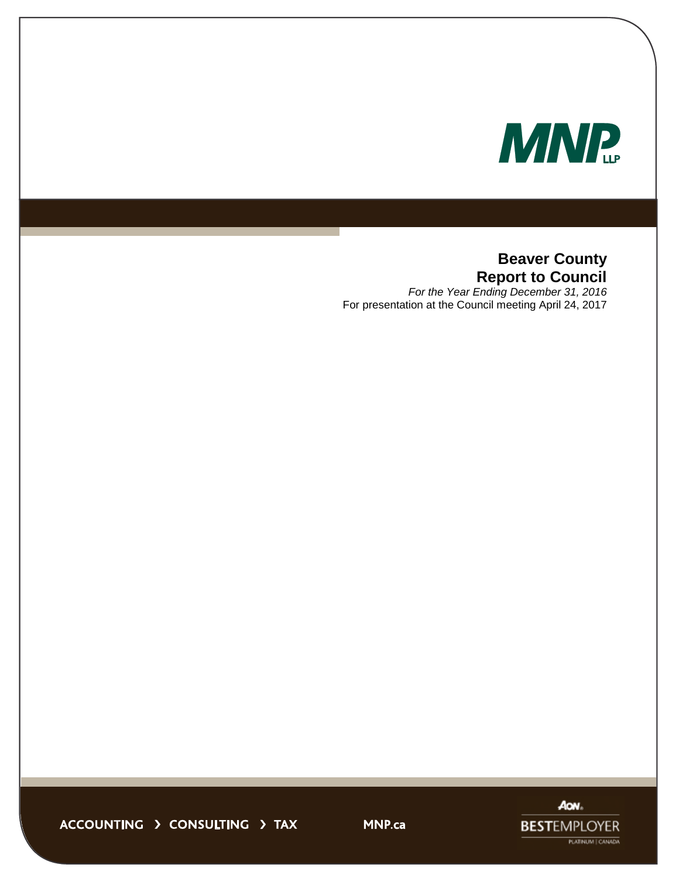

# **Beaver County Report to Council**

*For the Year Ending December 31, 2016* For presentation at the Council meeting April 24, 2017



ACCOUNTING > CONSULTING > TAX

**MNP.ca**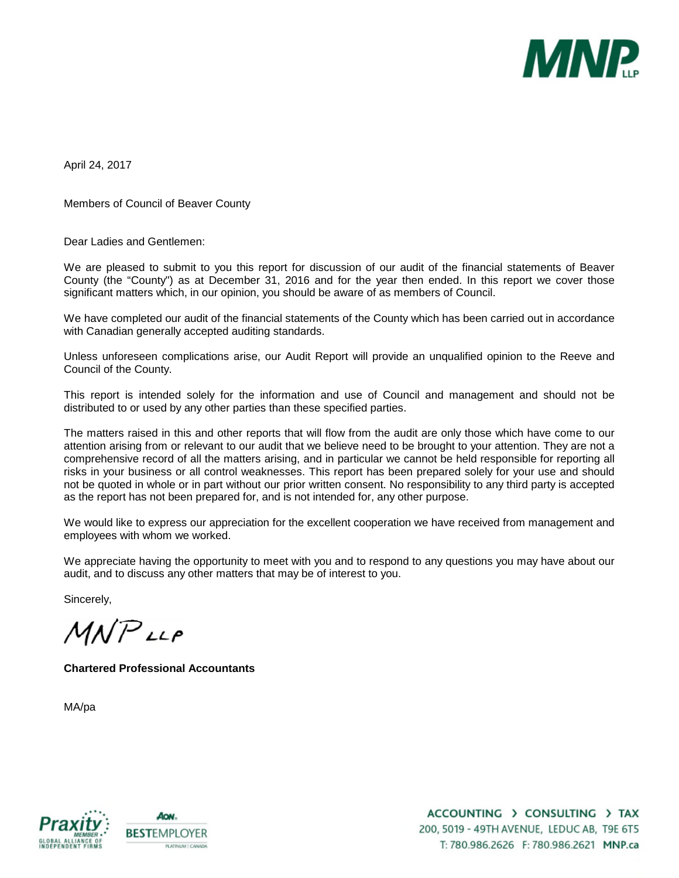

April 24, 2017

Members of Council of Beaver County

Dear Ladies and Gentlemen:

We are pleased to submit to you this report for discussion of our audit of the financial statements of Beaver County (the "County") as at December 31, 2016 and for the year then ended. In this report we cover those significant matters which, in our opinion, you should be aware of as members of Council.

We have completed our audit of the financial statements of the County which has been carried out in accordance with Canadian generally accepted auditing standards.

Unless unforeseen complications arise, our Audit Report will provide an unqualified opinion to the Reeve and Council of the County.

This report is intended solely for the information and use of Council and management and should not be distributed to or used by any other parties than these specified parties.

The matters raised in this and other reports that will flow from the audit are only those which have come to our attention arising from or relevant to our audit that we believe need to be brought to your attention. They are not a comprehensive record of all the matters arising, and in particular we cannot be held responsible for reporting all risks in your business or all control weaknesses. This report has been prepared solely for your use and should not be quoted in whole or in part without our prior written consent. No responsibility to any third party is accepted as the report has not been prepared for, and is not intended for, any other purpose.

We would like to express our appreciation for the excellent cooperation we have received from management and employees with whom we worked.

We appreciate having the opportunity to meet with you and to respond to any questions you may have about our audit, and to discuss any other matters that may be of interest to you.

Sincerely,

 $MNP$ LLP

**Chartered Professional Accountants**

MA/pa



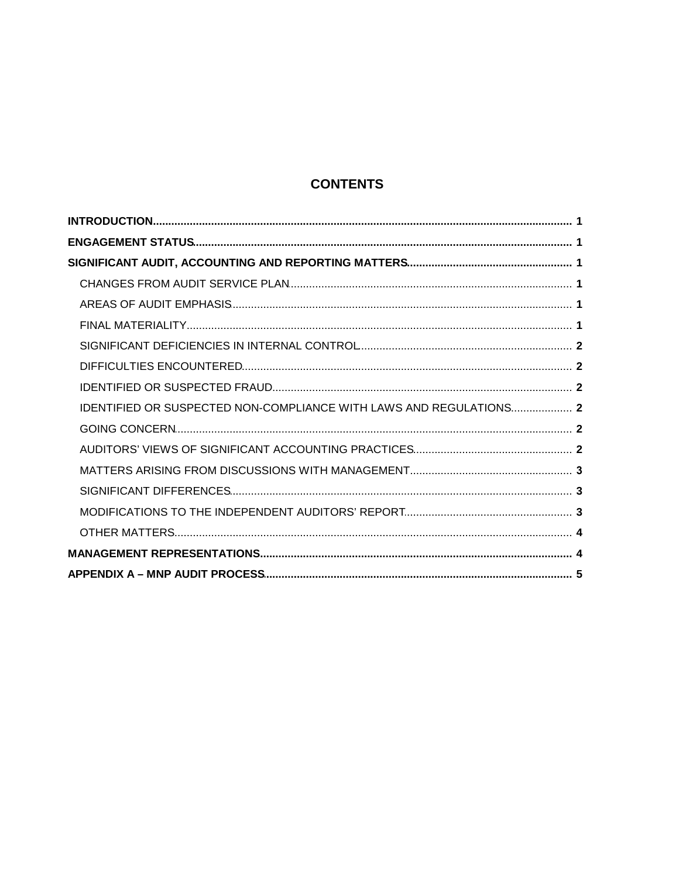## **CONTENTS**

| IDENTIFIED OR SUSPECTED NON-COMPLIANCE WITH LAWS AND REGULATIONS 2 |  |
|--------------------------------------------------------------------|--|
|                                                                    |  |
|                                                                    |  |
|                                                                    |  |
|                                                                    |  |
|                                                                    |  |
|                                                                    |  |
|                                                                    |  |
|                                                                    |  |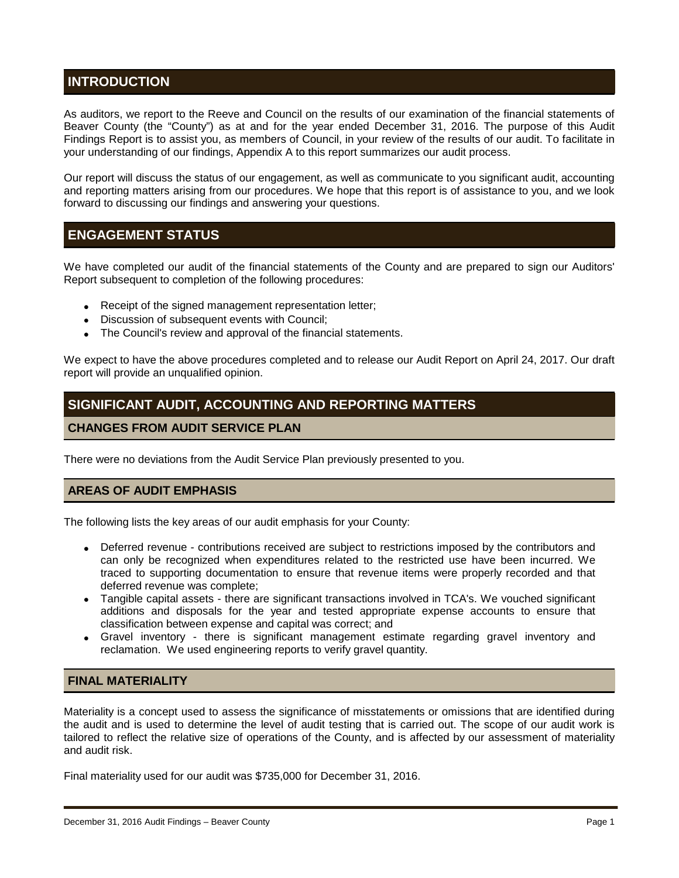## **INTRODUCTION**

As auditors, we report to the Reeve and Council on the results of our examination of the financial statements of Beaver County (the "County") as at and for the year ended December 31, 2016. The purpose of this Audit Findings Report is to assist you, as members of Council, in your review of the results of our audit. To facilitate in your understanding of our findings, Appendix A to this report summarizes our audit process.

Our report will discuss the status of our engagement, as well as communicate to you significant audit, accounting and reporting matters arising from our procedures. We hope that this report is of assistance to you, and we look forward to discussing our findings and answering your questions.

## **ENGAGEMENT STATUS**

We have completed our audit of the financial statements of the County and are prepared to sign our Auditors' Report subsequent to completion of the following procedures:

- . Receipt of the signed management representation letter;
- . Discussion of subsequent events with Council;
- The Council's review and approval of the financial statements.

We expect to have the above procedures completed and to release our Audit Report on April 24, 2017. Our draft report will provide an unqualified opinion.

## **SIGNIFICANT AUDIT, ACCOUNTING AND REPORTING MATTERS**

## **CHANGES FROM AUDIT SERVICE PLAN**

There were no deviations from the Audit Service Plan previously presented to you.

## **AREAS OF AUDIT EMPHASIS**

The following lists the key areas of our audit emphasis for your County:

- Deferred revenue contributions received are subject to restrictions imposed by the contributors and can only be recognized when expenditures related to the restricted use have been incurred. We traced to supporting documentation to ensure that revenue items were properly recorded and that deferred revenue was complete;
- Tangible capital assets there are significant transactions involved in TCA's. We vouched significant additions and disposals for the year and tested appropriate expense accounts to ensure that classification between expense and capital was correct; and
- Gravel inventory there is significant management estimate regarding gravel inventory and reclamation. We used engineering reports to verify gravel quantity.

## **FINAL MATERIALITY**

Materiality is a concept used to assess the significance of misstatements or omissions that are identified during the audit and is used to determine the level of audit testing that is carried out. The scope of our audit work is tailored to reflect the relative size of operations of the County, and is affected by our assessment of materiality and audit risk.

Final materiality used for our audit was \$735,000 for December 31, 2016.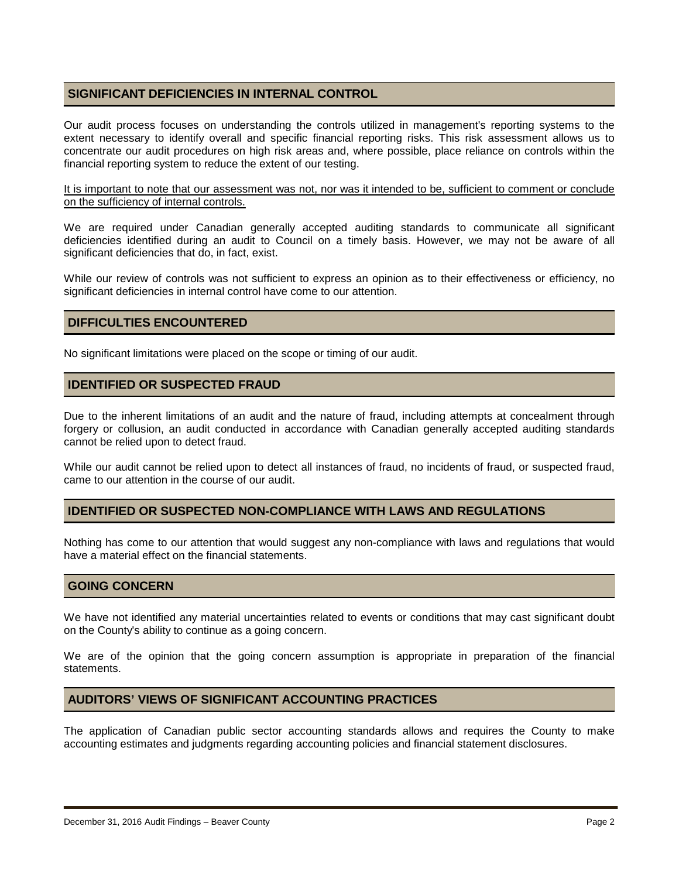## **SIGNIFICANT DEFICIENCIES IN INTERNAL CONTROL**

Our audit process focuses on understanding the controls utilized in management's reporting systems to the extent necessary to identify overall and specific financial reporting risks. This risk assessment allows us to concentrate our audit procedures on high risk areas and, where possible, place reliance on controls within the financial reporting system to reduce the extent of our testing.

It is important to note that our assessment was not, nor was it intended to be, sufficient to comment or conclude on the sufficiency of internal controls.

We are required under Canadian generally accepted auditing standards to communicate all significant deficiencies identified during an audit to Council on a timely basis. However, we may not be aware of all significant deficiencies that do, in fact, exist.

While our review of controls was not sufficient to express an opinion as to their effectiveness or efficiency, no significant deficiencies in internal control have come to our attention.

## **DIFFICULTIES ENCOUNTERED**

No significant limitations were placed on the scope or timing of our audit.

### **IDENTIFIED OR SUSPECTED FRAUD**

Due to the inherent limitations of an audit and the nature of fraud, including attempts at concealment through forgery or collusion, an audit conducted in accordance with Canadian generally accepted auditing standards cannot be relied upon to detect fraud.

While our audit cannot be relied upon to detect all instances of fraud, no incidents of fraud, or suspected fraud, came to our attention in the course of our audit.

#### **IDENTIFIED OR SUSPECTED NON-COMPLIANCE WITH LAWS AND REGULATIONS**

Nothing has come to our attention that would suggest any non-compliance with laws and regulations that would have a material effect on the financial statements.

#### **GOING CONCERN**

We have not identified any material uncertainties related to events or conditions that may cast significant doubt on the County's ability to continue as a going concern.

We are of the opinion that the going concern assumption is appropriate in preparation of the financial statements.

## **AUDITORS' VIEWS OF SIGNIFICANT ACCOUNTING PRACTICES**

The application of Canadian public sector accounting standards allows and requires the County to make accounting estimates and judgments regarding accounting policies and financial statement disclosures.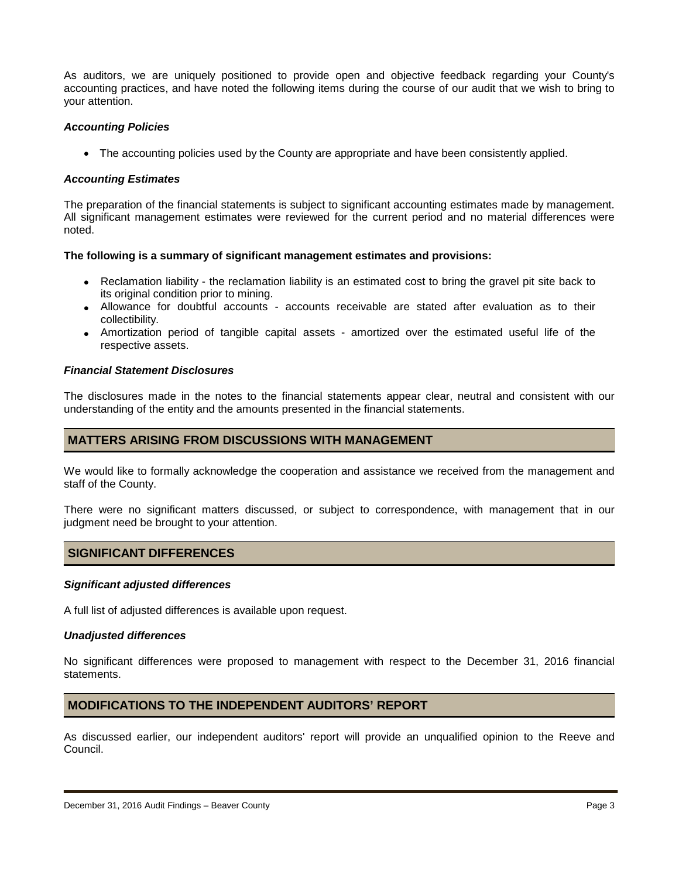As auditors, we are uniquely positioned to provide open and objective feedback regarding your County's accounting practices, and have noted the following items during the course of our audit that we wish to bring to your attention.

#### *Accounting Policies*

• The accounting policies used by the County are appropriate and have been consistently applied.

### *Accounting Estimates*

The preparation of the financial statements is subject to significant accounting estimates made by management. All significant management estimates were reviewed for the current period and no material differences were noted.

#### **The following is a summary of significant management estimates and provisions:**

- Reclamation liability the reclamation liability is an estimated cost to bring the gravel pit site back to its original condition prior to mining.
- Allowance for doubtful accounts accounts receivable are stated after evaluation as to their collectibility.
- Amortization period of tangible capital assets amortized over the estimated useful life of the respective assets.

#### *Financial Statement Disclosures*

The disclosures made in the notes to the financial statements appear clear, neutral and consistent with our understanding of the entity and the amounts presented in the financial statements.

## **MATTERS ARISING FROM DISCUSSIONS WITH MANAGEMENT**

We would like to formally acknowledge the cooperation and assistance we received from the management and staff of the County.

There were no significant matters discussed, or subject to correspondence, with management that in our judgment need be brought to your attention.

## **SIGNIFICANT DIFFERENCES**

#### *Significant adjusted differences*

A full list of adjusted differences is available upon request.

#### *Unadjusted differences*

No significant differences were proposed to management with respect to the December 31, 2016 financial statements.

## **MODIFICATIONS TO THE INDEPENDENT AUDITORS' REPORT**

As discussed earlier, our independent auditors' report will provide an unqualified opinion to the Reeve and Council.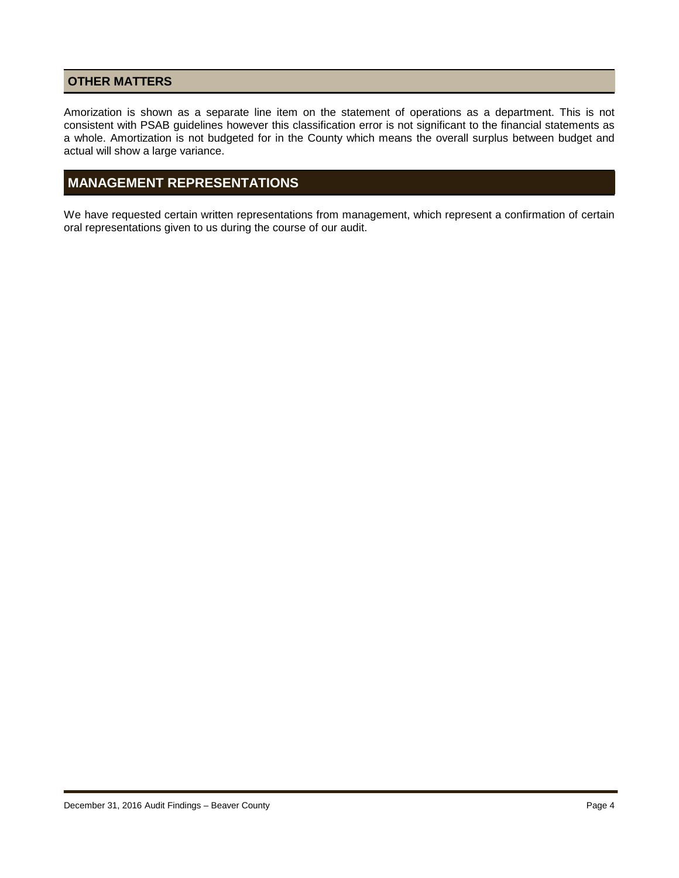## **OTHER MATTERS**

Amorization is shown as a separate line item on the statement of operations as a department. This is not consistent with PSAB guidelines however this classification error is not significant to the financial statements as a whole. Amortization is not budgeted for in the County which means the overall surplus between budget and actual will show a large variance.

## **MANAGEMENT REPRESENTATIONS**

We have requested certain written representations from management, which represent a confirmation of certain oral representations given to us during the course of our audit.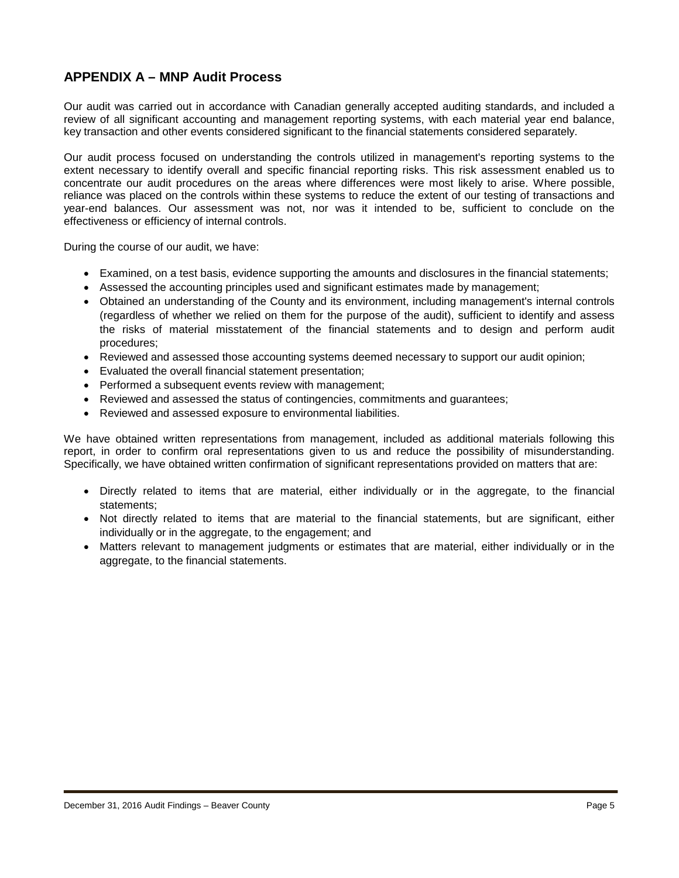## **APPENDIX A – MNP Audit Process**

Our audit was carried out in accordance with Canadian generally accepted auditing standards, and included a review of all significant accounting and management reporting systems, with each material year end balance, key transaction and other events considered significant to the financial statements considered separately.

Our audit process focused on understanding the controls utilized in management's reporting systems to the extent necessary to identify overall and specific financial reporting risks. This risk assessment enabled us to concentrate our audit procedures on the areas where differences were most likely to arise. Where possible, reliance was placed on the controls within these systems to reduce the extent of our testing of transactions and year-end balances. Our assessment was not, nor was it intended to be, sufficient to conclude on the effectiveness or efficiency of internal controls.

During the course of our audit, we have:

- Examined, on a test basis, evidence supporting the amounts and disclosures in the financial statements;
- Assessed the accounting principles used and significant estimates made by management;
- Obtained an understanding of the County and its environment, including management's internal controls (regardless of whether we relied on them for the purpose of the audit), sufficient to identify and assess the risks of material misstatement of the financial statements and to design and perform audit procedures;
- Reviewed and assessed those accounting systems deemed necessary to support our audit opinion;
- Evaluated the overall financial statement presentation;
- Performed a subsequent events review with management;
- Reviewed and assessed the status of contingencies, commitments and guarantees;
- Reviewed and assessed exposure to environmental liabilities.

We have obtained written representations from management, included as additional materials following this report, in order to confirm oral representations given to us and reduce the possibility of misunderstanding. Specifically, we have obtained written confirmation of significant representations provided on matters that are:

- Directly related to items that are material, either individually or in the aggregate, to the financial statements;
- Not directly related to items that are material to the financial statements, but are significant, either individually or in the aggregate, to the engagement; and
- Matters relevant to management judgments or estimates that are material, either individually or in the aggregate, to the financial statements.